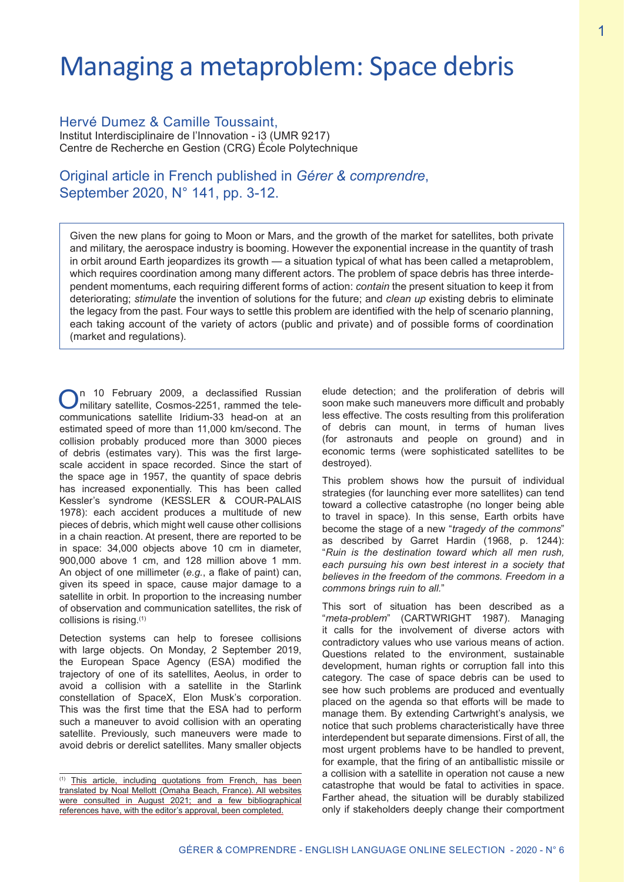# Managing a metaproblem: Space debris

Hervé Dumez & Camille Toussaint, Institut Interdisciplinaire de l'Innovation - i3 (UMR 9217) Centre de Recherche en Gestion (CRG) École Polytechnique

# Original article in French published in *Gérer & comprendre*, September 2020, N° 141, pp. 3-12.

Given the new plans for going to Moon or Mars, and the growth of the market for satellites, both private and military, the aerospace industry is booming. However the exponential increase in the quantity of trash in orbit around Earth jeopardizes its growth — a situation typical of what has been called a metaproblem, which requires coordination among many different actors. The problem of space debris has three interdependent momentums, each requiring different forms of action: *contain* the present situation to keep it from deteriorating; *stimulate* the invention of solutions for the future; and *clean up* existing debris to eliminate the legacy from the past. Four ways to settle this problem are identified with the help of scenario planning, each taking account of the variety of actors (public and private) and of possible forms of coordination (market and regulations).

On 10 February 2009, a declassified Russian military satellite, Cosmos-2251, rammed the telecommunications satellite Iridium-33 head-on at an estimated speed of more than 11,000 km/second. The collision probably produced more than 3000 pieces of debris (estimates vary). This was the first largescale accident in space recorded. Since the start of the space age in 1957, the quantity of space debris has increased exponentially. This has been called Kessler's syndrome (KESSLER & COUR-PALAIS 1978): each accident produces a multitude of new pieces of debris, which might well cause other collisions in a chain reaction. At present, there are reported to be in space: 34,000 objects above 10 cm in diameter, 900,000 above 1 cm, and 128 million above 1 mm. An object of one millimeter (*e.g.*, a flake of paint) can, given its speed in space, cause major damage to a satellite in orbit. In proportion to the increasing number of observation and communication satellites, the risk of collisions is rising.(1)

Detection systems can help to foresee collisions with large objects. On Monday, 2 September 2019, the European Space Agency (ESA) modified the trajectory of one of its satellites, Aeolus, in order to avoid a collision with a satellite in the Starlink constellation of SpaceX, Elon Musk's corporation. This was the first time that the ESA had to perform such a maneuver to avoid collision with an operating satellite. Previously, such maneuvers were made to avoid debris or derelict satellites. Many smaller objects

elude detection; and the proliferation of debris will soon make such maneuvers more difficult and probably less effective. The costs resulting from this proliferation of debris can mount, in terms of human lives (for astronauts and people on ground) and in economic terms (were sophisticated satellites to be destroyed).

This problem shows how the pursuit of individual strategies (for launching ever more satellites) can tend toward a collective catastrophe (no longer being able to travel in space). In this sense, Earth orbits have become the stage of a new "*tragedy of the commons*" as described by Garret Hardin (1968, p. 1244): "*Ruin is the destination toward which all men rush, each pursuing his own best interest in a society that believes in the freedom of the commons. Freedom in a commons brings ruin to all.*"

This sort of situation has been described as a "*meta-problem*" (CARTWRIGHT 1987). Managing it calls for the involvement of diverse actors with contradictory values who use various means of action. Questions related to the environment, sustainable development, human rights or corruption fall into this category. The case of space debris can be used to see how such problems are produced and eventually placed on the agenda so that efforts will be made to manage them. By extending Cartwright's analysis, we notice that such problems characteristically have three interdependent but separate dimensions. First of all, the most urgent problems have to be handled to prevent, for example, that the firing of an antiballistic missile or a collision with a satellite in operation not cause a new catastrophe that would be fatal to activities in space. Farther ahead, the situation will be durably stabilized only if stakeholders deeply change their comportment

<sup>(1)</sup> This article, including quotations from French, has been translated by Noal Mellott (Omaha Beach, France). All websites were consulted in August 2021; and a few bibliographical references have, with the editor's approval, been completed.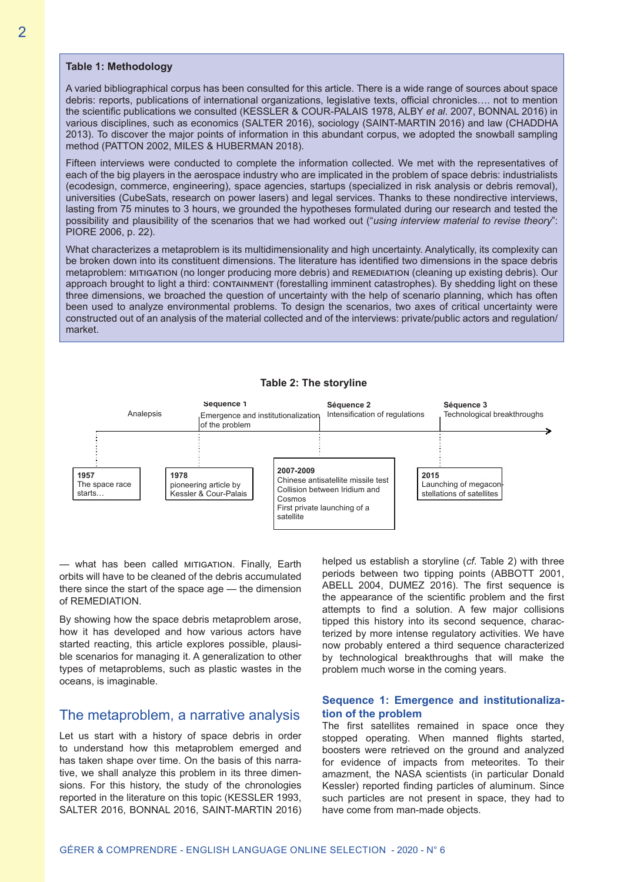#### **Table 1: Methodology**

A varied bibliographical corpus has been consulted for this article. There is a wide range of sources about space debris: reports, publications of international organizations, legislative texts, official chronicles…. not to mention the scientific publications we consulted (KESSLER & COUR-PALAIS 1978, ALBY *et al*. 2007, BONNAL 2016) in various disciplines, such as economics (SALTER 2016), sociology (SAINT-MARTIN 2016) and law (CHADDHA 2013). To discover the major points of information in this abundant corpus, we adopted the snowball sampling method (PATTON 2002, MILES & HUBERMAN 2018).

Fifteen interviews were conducted to complete the information collected. We met with the representatives of each of the big players in the aerospace industry who are implicated in the problem of space debris: industrialists (ecodesign, commerce, engineering), space agencies, startups (specialized in risk analysis or debris removal), universities (CubeSats, research on power lasers) and legal services. Thanks to these nondirective interviews, lasting from 75 minutes to 3 hours, we grounded the hypotheses formulated during our research and tested the possibility and plausibility of the scenarios that we had worked out ("*using interview material to revise theory*": PIORE 2006, p. 22).

What characterizes a metaproblem is its multidimensionality and high uncertainty. Analytically, its complexity can be broken down into its constituent dimensions. The literature has identified two dimensions in the space debris metaproblem: MITIGATION (no longer producing more debris) and REMEDIATION (cleaning up existing debris). Our approach brought to light a third: containment (forestalling imminent catastrophes). By shedding light on these three dimensions, we broached the question of uncertainty with the help of scenario planning, which has often been used to analyze environmental problems. To design the scenarios, two axes of critical uncertainty were constructed out of an analysis of the material collected and of the interviews: private/public actors and regulation/ market.



#### **Table 2: The storyline**

— what has been called mitigation. Finally, Earth orbits will have to be cleaned of the debris accumulated there since the start of the space age — the dimension of REMEDIATION.

By showing how the space debris metaproblem arose, how it has developed and how various actors have started reacting, this article explores possible, plausible scenarios for managing it. A generalization to other types of metaproblems, such as plastic wastes in the oceans, is imaginable.

## The metaproblem, a narrative analysis

Let us start with a history of space debris in order to understand how this metaproblem emerged and has taken shape over time. On the basis of this narrative, we shall analyze this problem in its three dimensions. For this history, the study of the chronologies reported in the literature on this topic (KESSLER 1993, SALTER 2016, BONNAL 2016, SAINT-MARTIN 2016) helped us establish a storyline (*cf*. Table 2) with three periods between two tipping points (ABBOTT 2001, ABELL 2004, DUMEZ 2016). The first sequence is the appearance of the scientific problem and the first attempts to find a solution. A few major collisions tipped this history into its second sequence, characterized by more intense regulatory activities. We have now probably entered a third sequence characterized by technological breakthroughs that will make the problem much worse in the coming years.

#### **Sequence 1: Emergence and institutionalization of the problem**

The first satellites remained in space once they stopped operating. When manned flights started, boosters were retrieved on the ground and analyzed for evidence of impacts from meteorites. To their amazment, the NASA scientists (in particular Donald Kessler) reported finding particles of aluminum. Since such particles are not present in space, they had to have come from man-made objects.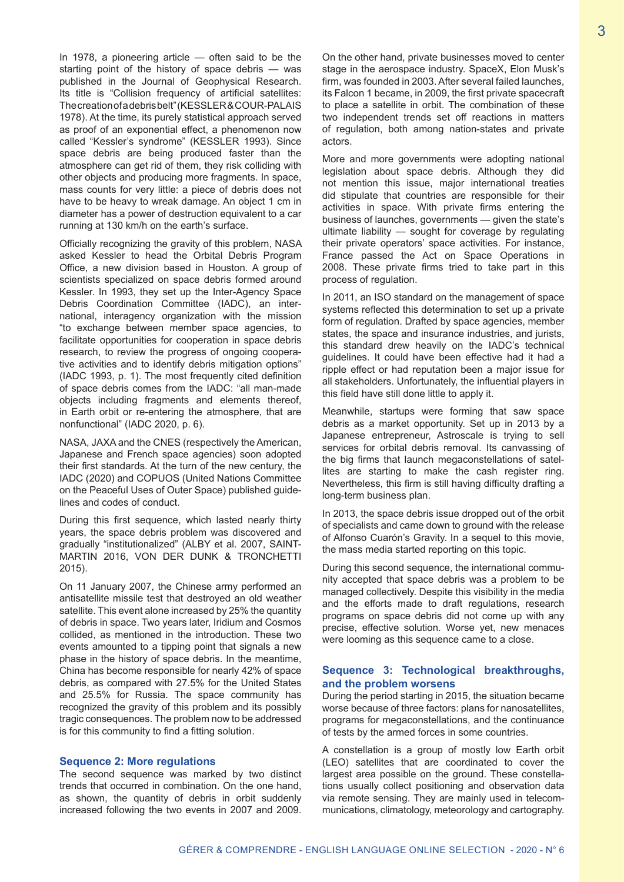In 1978, a pioneering article  $-$  often said to be the starting point of the history of space debris — was published in the Journal of Geophysical Research. Its title is "Collision frequency of artificial satellites: The creation of a debris belt" (KESSLER & COUR-PALAIS 1978). At the time, its purely statistical approach served as proof of an exponential effect, a phenomenon now called "Kessler's syndrome" (KESSLER 1993). Since space debris are being produced faster than the atmosphere can get rid of them, they risk colliding with other objects and producing more fragments. In space, mass counts for very little: a piece of debris does not have to be heavy to wreak damage. An object 1 cm in diameter has a power of destruction equivalent to a car running at 130 km/h on the earth's surface.

Officially recognizing the gravity of this problem, NASA asked Kessler to head the Orbital Debris Program Office, a new division based in Houston. A group of scientists specialized on space debris formed around Kessler. In 1993, they set up the Inter-Agency Space Debris Coordination Committee (IADC), an international, interagency organization with the mission "to exchange between member space agencies, to facilitate opportunities for cooperation in space debris research, to review the progress of ongoing cooperative activities and to identify debris mitigation options" (IADC 1993, p. 1). The most frequently cited definition of space debris comes from the IADC: "all man-made objects including fragments and elements thereof, in Earth orbit or re-entering the atmosphere, that are nonfunctional" (IADC 2020, p. 6).

NASA, JAXA and the CNES (respectively the American, Japanese and French space agencies) soon adopted their first standards. At the turn of the new century, the IADC (2020) and COPUOS (United Nations Committee on the Peaceful Uses of Outer Space) published guidelines and codes of conduct.

During this first sequence, which lasted nearly thirty years, the space debris problem was discovered and gradually "institutionalized" (ALBY et al. 2007, SAINT-MARTIN 2016, VON DER DUNK & TRONCHETTI 2015).

On 11 January 2007, the Chinese army performed an antisatellite missile test that destroyed an old weather satellite. This event alone increased by 25% the quantity of debris in space. Two years later, Iridium and Cosmos collided, as mentioned in the introduction. These two events amounted to a tipping point that signals a new phase in the history of space debris. In the meantime, China has become responsible for nearly 42% of space debris, as compared with 27.5% for the United States and 25.5% for Russia. The space community has recognized the gravity of this problem and its possibly tragic consequences. The problem now to be addressed is for this community to find a fitting solution.

#### **Sequence 2: More regulations**

The second sequence was marked by two distinct trends that occurred in combination. On the one hand, as shown, the quantity of debris in orbit suddenly increased following the two events in 2007 and 2009.

On the other hand, private businesses moved to center stage in the aerospace industry. SpaceX, Elon Musk's firm, was founded in 2003. After several failed launches, its Falcon 1 became, in 2009, the first private spacecraft to place a satellite in orbit. The combination of these two independent trends set off reactions in matters of regulation, both among nation-states and private actors.

More and more governments were adopting national legislation about space debris. Although they did not mention this issue, major international treaties did stipulate that countries are responsible for their activities in space. With private firms entering the business of launches, governments — given the state's ultimate liability — sought for coverage by regulating their private operators' space activities. For instance, France passed the Act on Space Operations in 2008. These private firms tried to take part in this process of regulation.

In 2011, an ISO standard on the management of space systems reflected this determination to set up a private form of regulation. Drafted by space agencies, member states, the space and insurance industries, and jurists, this standard drew heavily on the IADC's technical guidelines. It could have been effective had it had a ripple effect or had reputation been a major issue for all stakeholders. Unfortunately, the influential players in this field have still done little to apply it.

Meanwhile, startups were forming that saw space debris as a market opportunity. Set up in 2013 by a Japanese entrepreneur, Astroscale is trying to sell services for orbital debris removal. Its canvassing of the big firms that launch megaconstellations of satellites are starting to make the cash register ring. Nevertheless, this firm is still having difficulty drafting a long-term business plan.

In 2013, the space debris issue dropped out of the orbit of specialists and came down to ground with the release of Alfonso Cuarón's Gravity. In a sequel to this movie, the mass media started reporting on this topic.

During this second sequence, the international community accepted that space debris was a problem to be managed collectively. Despite this visibility in the media and the efforts made to draft regulations, research programs on space debris did not come up with any precise, effective solution. Worse yet, new menaces were looming as this sequence came to a close.

#### **Sequence 3: Technological breakthroughs, and the problem worsens**

During the period starting in 2015, the situation became worse because of three factors: plans for nanosatellites, programs for megaconstellations, and the continuance of tests by the armed forces in some countries.

A constellation is a group of mostly low Earth orbit (LEO) satellites that are coordinated to cover the largest area possible on the ground. These constellations usually collect positioning and observation data via remote sensing. They are mainly used in telecommunications, climatology, meteorology and cartography.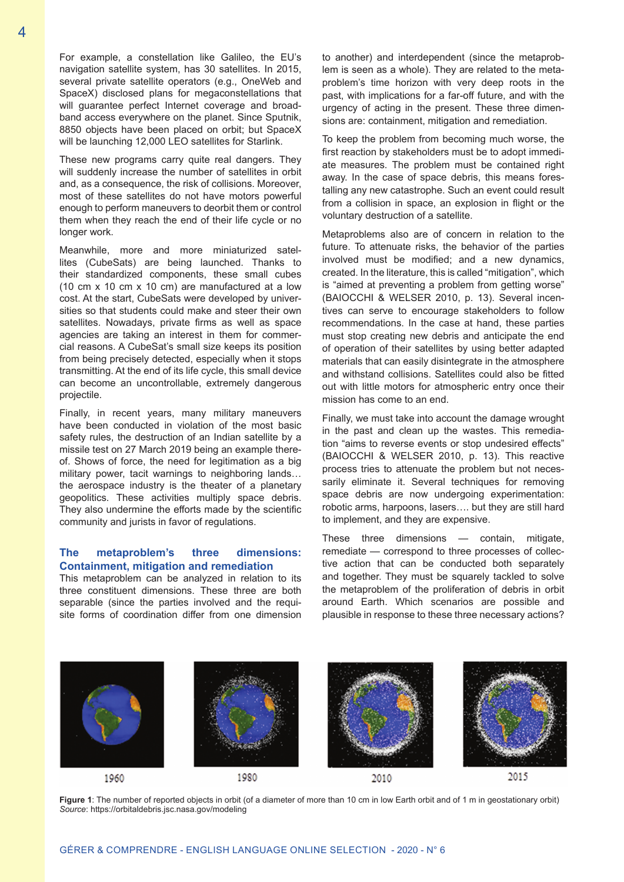For example, a constellation like Galileo, the EU's navigation satellite system, has 30 satellites. In 2015, several private satellite operators (e.g., OneWeb and SpaceX) disclosed plans for megaconstellations that will guarantee perfect Internet coverage and broadband access everywhere on the planet. Since Sputnik, 8850 objects have been placed on orbit; but SpaceX will be launching 12,000 LEO satellites for Starlink.

These new programs carry quite real dangers. They will suddenly increase the number of satellites in orbit and, as a consequence, the risk of collisions. Moreover, most of these satellites do not have motors powerful enough to perform maneuvers to deorbit them or control them when they reach the end of their life cycle or no longer work.

Meanwhile, more and more miniaturized satellites (CubeSats) are being launched. Thanks to their standardized components, these small cubes (10 cm x 10 cm x 10 cm) are manufactured at a low cost. At the start, CubeSats were developed by universities so that students could make and steer their own satellites. Nowadays, private firms as well as space agencies are taking an interest in them for commercial reasons. A CubeSat's small size keeps its position from being precisely detected, especially when it stops transmitting. At the end of its life cycle, this small device can become an uncontrollable, extremely dangerous projectile.

Finally, in recent years, many military maneuvers have been conducted in violation of the most basic safety rules, the destruction of an Indian satellite by a missile test on 27 March 2019 being an example thereof. Shows of force, the need for legitimation as a big military power, tacit warnings to neighboring lands… the aerospace industry is the theater of a planetary geopolitics. These activities multiply space debris. They also undermine the efforts made by the scientific community and jurists in favor of regulations.

#### **The metaproblem's three dimensions: Containment, mitigation and remediation**

This metaproblem can be analyzed in relation to its three constituent dimensions. These three are both separable (since the parties involved and the requisite forms of coordination differ from one dimension

to another) and interdependent (since the metaproblem is seen as a whole). They are related to the metaproblem's time horizon with very deep roots in the past, with implications for a far-off future, and with the urgency of acting in the present. These three dimensions are: containment, mitigation and remediation.

To keep the problem from becoming much worse, the first reaction by stakeholders must be to adopt immediate measures. The problem must be contained right away. In the case of space debris, this means forestalling any new catastrophe. Such an event could result from a collision in space, an explosion in flight or the voluntary destruction of a satellite.

Metaproblems also are of concern in relation to the future. To attenuate risks, the behavior of the parties involved must be modified; and a new dynamics, created. In the literature, this is called "mitigation", which is "aimed at preventing a problem from getting worse" (BAIOCCHI & WELSER 2010, p. 13). Several incentives can serve to encourage stakeholders to follow recommendations. In the case at hand, these parties must stop creating new debris and anticipate the end of operation of their satellites by using better adapted materials that can easily disintegrate in the atmosphere and withstand collisions. Satellites could also be fitted out with little motors for atmospheric entry once their mission has come to an end.

Finally, we must take into account the damage wrought in the past and clean up the wastes. This remediation "aims to reverse events or stop undesired effects" (BAIOCCHI & WELSER 2010, p. 13). This reactive process tries to attenuate the problem but not necessarily eliminate it. Several techniques for removing space debris are now undergoing experimentation: robotic arms, harpoons, lasers…. but they are still hard to implement, and they are expensive.

These three dimensions — contain, mitigate, remediate — correspond to three processes of collective action that can be conducted both separately and together. They must be squarely tackled to solve the metaproblem of the proliferation of debris in orbit around Earth. Which scenarios are possible and plausible in response to these three necessary actions?



**Figure 1**: The number of reported objects in orbit (of a diameter of more than 10 cm in low Earth orbit and of 1 m in geostationary orbit) *Source*: https://orbitaldebris.jsc.nasa.gov/modeling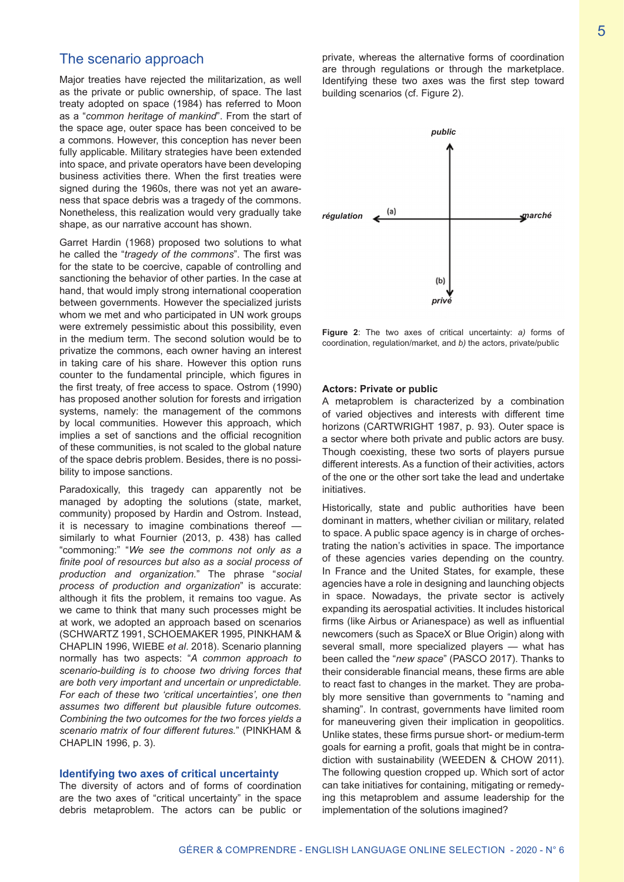## The scenario approach

Major treaties have rejected the militarization, as well as the private or public ownership, of space. The last treaty adopted on space (1984) has referred to Moon as a "*common heritage of mankind*". From the start of the space age, outer space has been conceived to be a commons. However, this conception has never been fully applicable. Military strategies have been extended into space, and private operators have been developing business activities there. When the first treaties were signed during the 1960s, there was not yet an awareness that space debris was a tragedy of the commons. Nonetheless, this realization would very gradually take shape, as our narrative account has shown.

Garret Hardin (1968) proposed two solutions to what he called the "*tragedy of the commons*". The first was for the state to be coercive, capable of controlling and sanctioning the behavior of other parties. In the case at hand, that would imply strong international cooperation between governments. However the specialized jurists whom we met and who participated in UN work groups were extremely pessimistic about this possibility, even in the medium term. The second solution would be to privatize the commons, each owner having an interest in taking care of his share. However this option runs counter to the fundamental principle, which figures in the first treaty, of free access to space. Ostrom (1990) has proposed another solution for forests and irrigation systems, namely: the management of the commons by local communities. However this approach, which implies a set of sanctions and the official recognition of these communities, is not scaled to the global nature of the space debris problem. Besides, there is no possibility to impose sanctions.

Paradoxically, this tragedy can apparently not be managed by adopting the solutions (state, market, community) proposed by Hardin and Ostrom. Instead, it is necessary to imagine combinations thereof similarly to what Fournier (2013, p. 438) has called "commoning:" "*We see the commons not only as a finite pool of resources but also as a social process of production and organization.*" The phrase "*social process of production and organization*" is accurate: although it fits the problem, it remains too vague. As we came to think that many such processes might be at work, we adopted an approach based on scenarios (SCHWARTZ 1991, SCHOEMAKER 1995, PINKHAM & CHAPLIN 1996, WIEBE *et al*. 2018). Scenario planning normally has two aspects: "*A common approach to scenario-building is to choose two driving forces that are both very important and uncertain or unpredictable. For each of these two 'critical uncertainties', one then assumes two different but plausible future outcomes. Combining the two outcomes for the two forces yields a scenario matrix of four different futures.*" (PINKHAM & CHAPLIN 1996, p. 3).

#### **Identifying two axes of critical uncertainty**

The diversity of actors and of forms of coordination are the two axes of "critical uncertainty" in the space debris metaproblem. The actors can be public or private, whereas the alternative forms of coordination are through regulations or through the marketplace. Identifying these two axes was the first step toward building scenarios (cf. Figure 2).



**Figure 2**: The two axes of critical uncertainty: *a)* forms of coordination, regulation/market, and *b)* the actors, private/public

#### **Actors: Private or public**

A metaproblem is characterized by a combination of varied objectives and interests with different time horizons (CARTWRIGHT 1987, p. 93). Outer space is a sector where both private and public actors are busy. Though coexisting, these two sorts of players pursue different interests. As a function of their activities, actors of the one or the other sort take the lead and undertake initiatives.

Historically, state and public authorities have been dominant in matters, whether civilian or military, related to space. A public space agency is in charge of orchestrating the nation's activities in space. The importance of these agencies varies depending on the country. In France and the United States, for example, these agencies have a role in designing and launching objects in space. Nowadays, the private sector is actively expanding its aerospatial activities. It includes historical firms (like Airbus or Arianespace) as well as influential newcomers (such as SpaceX or Blue Origin) along with several small, more specialized players — what has been called the "*new space*" (PASCO 2017). Thanks to their considerable financial means, these firms are able to react fast to changes in the market. They are probably more sensitive than governments to "naming and shaming". In contrast, governments have limited room for maneuvering given their implication in geopolitics. Unlike states, these firms pursue short- or medium-term goals for earning a profit, goals that might be in contradiction with sustainability (WEEDEN & CHOW 2011). The following question cropped up. Which sort of actor can take initiatives for containing, mitigating or remedying this metaproblem and assume leadership for the implementation of the solutions imagined?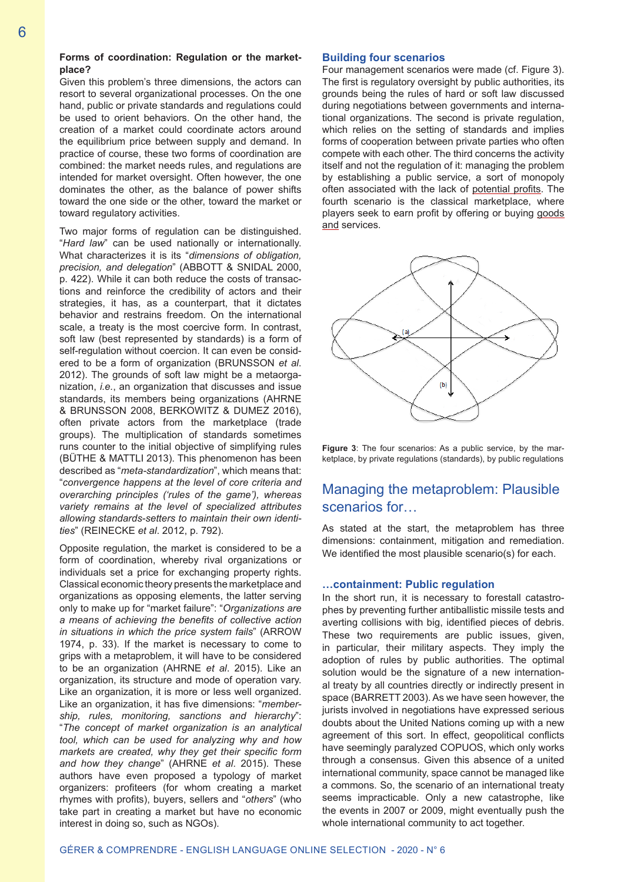#### **Forms of coordination: Regulation or the marketplace?**

Given this problem's three dimensions, the actors can resort to several organizational processes. On the one hand, public or private standards and regulations could be used to orient behaviors. On the other hand, the creation of a market could coordinate actors around the equilibrium price between supply and demand. In practice of course, these two forms of coordination are combined: the market needs rules, and regulations are intended for market oversight. Often however, the one dominates the other, as the balance of power shifts toward the one side or the other, toward the market or toward regulatory activities.

Two major forms of regulation can be distinguished. "*Hard law*" can be used nationally or internationally. What characterizes it is its "*dimensions of obligation, precision, and delegation*" (ABBOTT & SNIDAL 2000, p. 422). While it can both reduce the costs of transactions and reinforce the credibility of actors and their strategies, it has, as a counterpart, that it dictates behavior and restrains freedom. On the international scale, a treaty is the most coercive form. In contrast, soft law (best represented by standards) is a form of self-regulation without coercion. It can even be considered to be a form of organization (BRUNSSON *et al*. 2012). The grounds of soft law might be a metaorganization, *i.e.*, an organization that discusses and issue standards, its members being organizations (AHRNE & BRUNSSON 2008, BERKOWITZ & DUMEZ 2016), often private actors from the marketplace (trade groups). The multiplication of standards sometimes runs counter to the initial objective of simplifying rules (BÜTHE & MATTLI 2013). This phenomenon has been described as "*meta-standardization*", which means that: "*convergence happens at the level of core criteria and overarching principles ('rules of the game'), whereas variety remains at the level of specialized attributes allowing standards-setters to maintain their own identities*" (REINECKE *et al*. 2012, p. 792).

Opposite regulation, the market is considered to be a form of coordination, whereby rival organizations or individuals set a price for exchanging property rights. Classical economic theory presents the marketplace and organizations as opposing elements, the latter serving only to make up for "market failure": "*Organizations are a means of achieving the benefits of collective action in situations in which the price system fails*" (ARROW 1974, p. 33). If the market is necessary to come to grips with a metaproblem, it will have to be considered to be an organization (AHRNE *et al*. 2015). Like an organization, its structure and mode of operation vary. Like an organization, it is more or less well organized. Like an organization, it has five dimensions: "*membership, rules, monitoring, sanctions and hierarchy*": "*The concept of market organization is an analytical tool, which can be used for analyzing why and how markets are created, why they get their specific form and how they change*" (AHRNE *et al*. 2015). These authors have even proposed a typology of market organizers: profiteers (for whom creating a market rhymes with profits), buyers, sellers and "*others*" (who take part in creating a market but have no economic interest in doing so, such as NGOs).

#### **Building four scenarios**

Four management scenarios were made (cf. Figure 3). The first is regulatory oversight by public authorities, its grounds being the rules of hard or soft law discussed during negotiations between governments and international organizations. The second is private regulation, which relies on the setting of standards and implies forms of cooperation between private parties who often compete with each other. The third concerns the activity itself and not the regulation of it: managing the problem by establishing a public service, a sort of monopoly often associated with the lack of potential profits. The fourth scenario is the classical marketplace, where players seek to earn profit by offering or buying goods and services.



**Figure 3**: The four scenarios: As a public service, by the marketplace, by private regulations (standards), by public regulations

# Managing the metaproblem: Plausible scenarios for…

As stated at the start, the metaproblem has three dimensions: containment, mitigation and remediation. We identified the most plausible scenario(s) for each.

#### **…containment: Public regulation**

In the short run, it is necessary to forestall catastrophes by preventing further antiballistic missile tests and averting collisions with big, identified pieces of debris. These two requirements are public issues, given, in particular, their military aspects. They imply the adoption of rules by public authorities. The optimal solution would be the signature of a new international treaty by all countries directly or indirectly present in space (BARRETT 2003). As we have seen however, the jurists involved in negotiations have expressed serious doubts about the United Nations coming up with a new agreement of this sort. In effect, geopolitical conflicts have seemingly paralyzed COPUOS, which only works through a consensus. Given this absence of a united international community, space cannot be managed like a commons. So, the scenario of an international treaty seems impracticable. Only a new catastrophe, like the events in 2007 or 2009, might eventually push the whole international community to act together.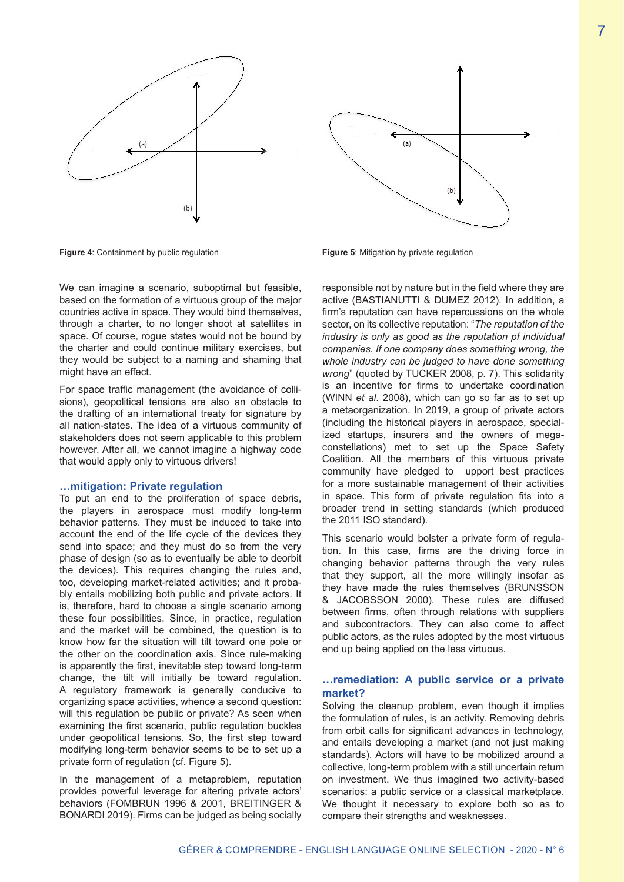



**Figure 4**: Containment by public regulation

We can imagine a scenario, suboptimal but feasible. based on the formation of a virtuous group of the major countries active in space. They would bind themselves, through a charter, to no longer shoot at satellites in space. Of course, rogue states would not be bound by the charter and could continue military exercises, but they would be subject to a naming and shaming that might have an effect.

For space traffic management (the avoidance of collisions), geopolitical tensions are also an obstacle to the drafting of an international treaty for signature by all nation-states. The idea of a virtuous community of stakeholders does not seem applicable to this problem however. After all, we cannot imagine a highway code that would apply only to virtuous drivers!

#### **…mitigation: Private regulation**

To put an end to the proliferation of space debris, the players in aerospace must modify long-term behavior patterns. They must be induced to take into account the end of the life cycle of the devices they send into space; and they must do so from the very phase of design (so as to eventually be able to deorbit the devices). This requires changing the rules and, too, developing market-related activities; and it probably entails mobilizing both public and private actors. It is, therefore, hard to choose a single scenario among these four possibilities. Since, in practice, regulation and the market will be combined, the question is to know how far the situation will tilt toward one pole or the other on the coordination axis. Since rule-making is apparently the first, inevitable step toward long-term change, the tilt will initially be toward regulation. A regulatory framework is generally conducive to organizing space activities, whence a second question: will this regulation be public or private? As seen when examining the first scenario, public regulation buckles under geopolitical tensions. So, the first step toward modifying long-term behavior seems to be to set up a private form of regulation (cf. Figure 5).

In the management of a metaproblem, reputation provides powerful leverage for altering private actors' behaviors (FOMBRUN 1996 & 2001, BREITINGER & BONARDI 2019). Firms can be judged as being socially



**Figure 5**: Mitigation by private regulation

responsible not by nature but in the field where they are active (BASTIANUTTI & DUMEZ 2012). In addition, a firm's reputation can have repercussions on the whole sector, on its collective reputation: "*The reputation of the industry is only as good as the reputation pf individual companies. If one company does something wrong, the whole industry can be judged to have done something wrong*" (quoted by TUCKER 2008, p. 7). This solidarity is an incentive for firms to undertake coordination (WINN *et al*. 2008), which can go so far as to set up a metaorganization. In 2019, a group of private actors (including the historical players in aerospace, specialized startups, insurers and the owners of megaconstellations) met to set up the Space Safety Coalition. All the members of this virtuous private community have pledged to upport best practices for a more sustainable management of their activities in space. This form of private regulation fits into a broader trend in setting standards (which produced the 2011 ISO standard).

This scenario would bolster a private form of regulation. In this case, firms are the driving force in changing behavior patterns through the very rules that they support, all the more willingly insofar as they have made the rules themselves (BRUNSSON & JACOBSSON 2000). These rules are diffused between firms, often through relations with suppliers and subcontractors. They can also come to affect public actors, as the rules adopted by the most virtuous end up being applied on the less virtuous.

#### **…remediation: A public service or a private market?**

Solving the cleanup problem, even though it implies the formulation of rules, is an activity. Removing debris from orbit calls for significant advances in technology, and entails developing a market (and not just making standards). Actors will have to be mobilized around a collective, long-term problem with a still uncertain return on investment. We thus imagined two activity-based scenarios: a public service or a classical marketplace. We thought it necessary to explore both so as to compare their strengths and weaknesses.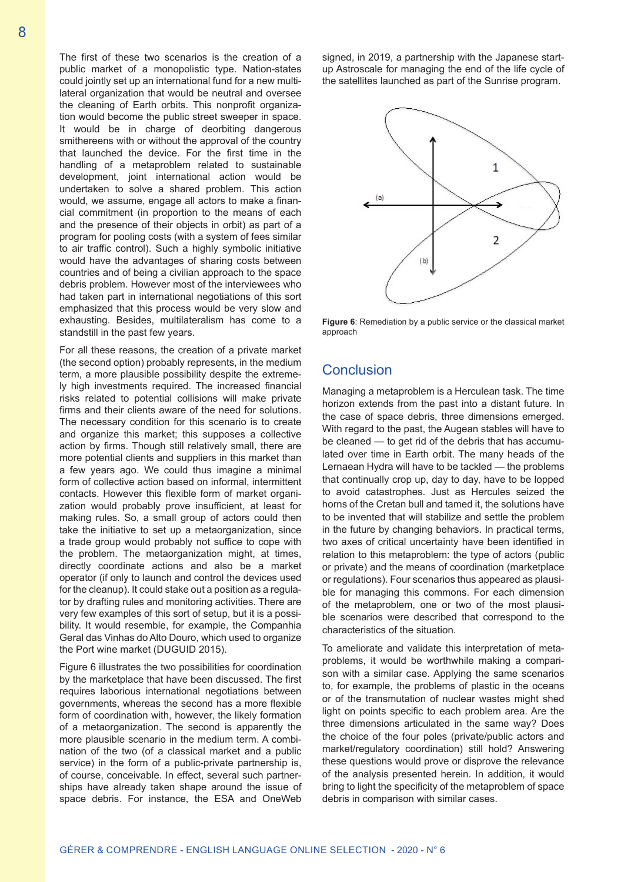The first of these two scenarios is the creation of a public market of a monopolistic type. Nation-states could jointly set up an international fund for a new multilateral organization that would be neutral and oversee the cleaning of Earth orbits. This nonprofit organization would become the public street sweeper in space. It would be in charge of deorbiting dangerous smithereens with or without the approval of the country that launched the device. For the first time in the handling of a metaproblem related to sustainable development, joint international action would be undertaken to solve a shared problem. This action would, we assume, engage all actors to make a financial commitment (in proportion to the means of each and the presence of their objects in orbit) as part of a program for pooling costs (with a system of fees similar to air traffic control). Such a highly symbolic initiative would have the advantages of sharing costs between countries and of being a civilian approach to the space debris problem. However most of the interviewees who had taken part in international negotiations of this sort emphasized that this process would be very slow and exhausting. Besides, multilateralism has come to a standstill in the past few years.

For all these reasons, the creation of a private market (the second option) probably represents, in the medium term, a more plausible possibility despite the extremely high investments required. The increased financial risks related to potential collisions will make private firms and their clients aware of the need for solutions. The necessary condition for this scenario is to create and organize this market; this supposes a collective action by firms. Though still relatively small, there are more potential clients and suppliers in this market than a few years ago. We could thus imagine a minimal form of collective action based on informal, intermittent contacts. However this flexible form of market organization would probably prove insufficient, at least for making rules. So, a small group of actors could then take the initiative to set up a metaorganization, since a trade group would probably not suffice to cope with the problem. The metaorganization might, at times, directly coordinate actions and also be a market operator (if only to launch and control the devices used for the cleanup). It could stake out a position as a regulator by drafting rules and monitoring activities. There are very few examples of this sort of setup, but it is a possibility. It would resemble, for example, the Companhia Geral das Vinhas do Alto Douro, which used to organize the Port wine market (DUGUID 2015).

Figure 6 illustrates the two possibilities for coordination by the marketplace that have been discussed. The first requires laborious international negotiations between governments, whereas the second has a more flexible form of coordination with, however, the likely formation of a metaorganization. The second is apparently the more plausible scenario in the medium term. A combination of the two (of a classical market and a public service) in the form of a public-private partnership is, of course, conceivable. In effect, several such partnerships have already taken shape around the issue of space debris. For instance, the ESA and OneWeb

signed, in 2019, a partnership with the Japanese startup Astroscale for managing the end of the life cycle of the satellites launched as part of the Sunrise program.



**Figure 6**: Remediation by a public service or the classical market approach

## **Conclusion**

Managing a metaproblem is a Herculean task. The time horizon extends from the past into a distant future. In the case of space debris, three dimensions emerged. With regard to the past, the Augean stables will have to be cleaned — to get rid of the debris that has accumulated over time in Earth orbit. The many heads of the Lernaean Hydra will have to be tackled — the problems that continually crop up, day to day, have to be lopped to avoid catastrophes. Just as Hercules seized the horns of the Cretan bull and tamed it, the solutions have to be invented that will stabilize and settle the problem in the future by changing behaviors. In practical terms, two axes of critical uncertainty have been identified in relation to this metaproblem: the type of actors (public or private) and the means of coordination (marketplace or regulations). Four scenarios thus appeared as plausible for managing this commons. For each dimension of the metaproblem, one or two of the most plausible scenarios were described that correspond to the characteristics of the situation.

To ameliorate and validate this interpretation of metaproblems, it would be worthwhile making a comparison with a similar case. Applying the same scenarios to, for example, the problems of plastic in the oceans or of the transmutation of nuclear wastes might shed light on points specific to each problem area. Are the three dimensions articulated in the same way? Does the choice of the four poles (private/public actors and market/regulatory coordination) still hold? Answering these questions would prove or disprove the relevance of the analysis presented herein. In addition, it would bring to light the specificity of the metaproblem of space debris in comparison with similar cases.